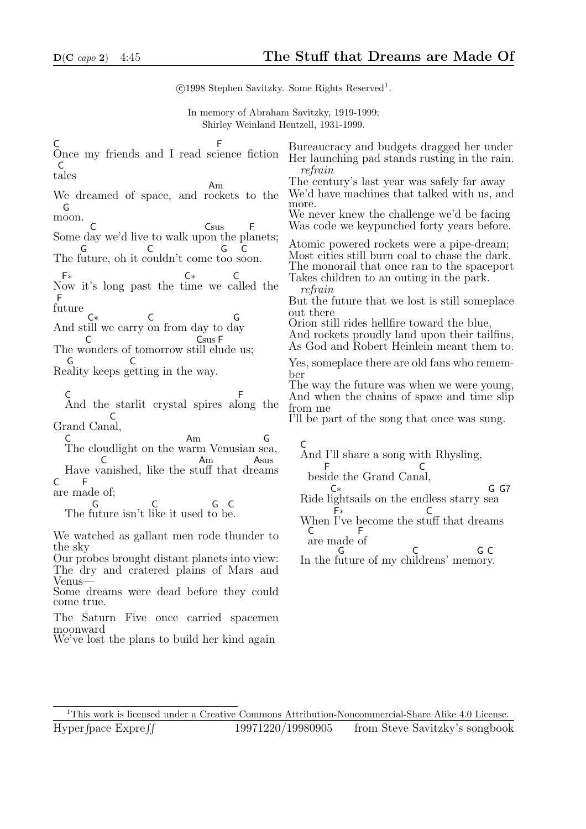c 1998 Stephen Savitzky. Some Rights Reserved<sup>1</sup> . In memory of Abraham Savitzky, 1919-1999; Shirley Weinland Hentzell, 1931-1999. C Once my friends and I read science fiction F t ales  $\mathcal{C}$ We dreamed of space, and r ockets to the Am m oon. G Some d ay we'd live to walk up on the pl anets;  $\mathcal{C}$ **Csus** F The f uture, oh it c ouldn't come t oo s oon. G C G C N ow it's long past the t ime we c alled the F∗ C∗ C f uture F And st ill we carry on from day to d ay C∗ C G The w onders of tomorrow st ill el ude us; C Csus F Re ality keeps g etting in the way. G C C And the starlit crystal spires al ong the F Grand Can al, C C The cloudlight on the w arm Venusian s ea, Am G Have v anished, like the st uff that dr eams C Am Asus C are m ade of; F The f uture isn't l ike it used t o b e. G  $\epsilon$ G C We watched as gallant men rode thunder to the sky Our probes brought distant planets into view: The dry and cratered plains of Mars and Venus— Some dreams were dead before they could come true. Bureaucracy and budgets dragged her under Her launching pad stands rusting in the rain. refrain The century's last year was safely far away We'd have machines that talked with us, and more. We never knew the challenge we'd be facing Was code we keypunched forty years before. Atomic powered rockets were a pipe-dream; Most cities still burn coal to chase the dark. The monorail that once ran to the spaceport Takes children to an outing in the park. refrain But the future that we lost is still someplace out there Orion still rides hellfire toward the blue, And rockets proudly land upon their tailfins, As God and Robert Heinlein meant them to. Yes, someplace there are old fans who remember The way the future was when we were young, And when the chains of space and time slip from me I'll be part of the song that once was sung. C And I'll share a song with Rhysling, bes ide the Grand Can al, F C Ride l ightsails on the endless starry s ea C∗ G G7 When I've become the st uff that dreams F∗ C  $\mathsf{C}$ are made of F In the future of my childrens' memory. G C G C

The Saturn Five once carried spacemen moonward

We've lost the plans to build her kind again

<sup>1</sup>This work is licensed under a Creative Commons Attribution-Noncommercial-Share Alike 4.0 License. Hyper fpace Expre ff pace ExpreRR 19971220/19980905 from Steve Savitzky's songbook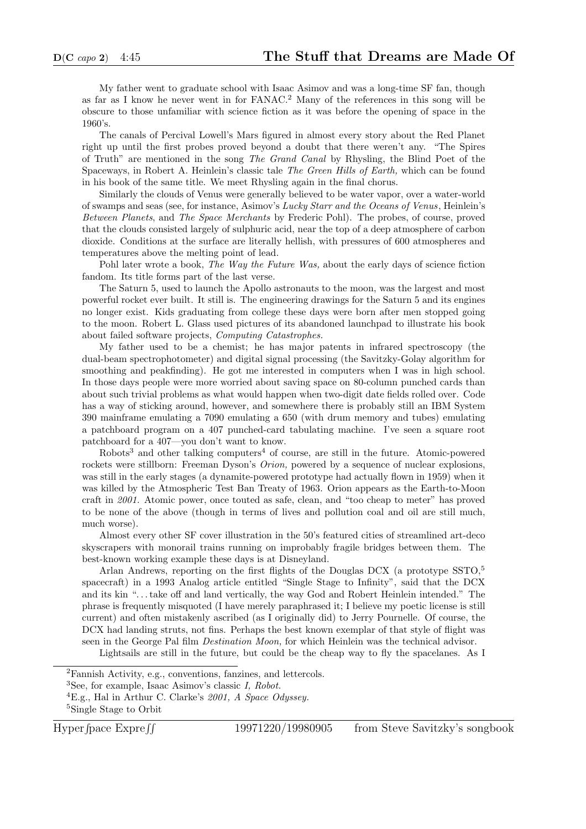My father went to graduate school with Isaac Asimov and was a long-time SF fan, though as far as I know he never went in for FANAC.<sup>2</sup> Many of the references in this song will be obscure to those unfamiliar with science fiction as it was before the opening of space in the 1960's.

The canals of Percival Lowell's Mars figured in almost every story about the Red Planet right up until the first probes proved beyond a doubt that there weren't any. "The Spires of Truth" are mentioned in the song The Grand Canal by Rhysling, the Blind Poet of the Spaceways, in Robert A. Heinlein's classic tale The Green Hills of Earth, which can be found in his book of the same title. We meet Rhysling again in the final chorus.

Similarly the clouds of Venus were generally believed to be water vapor, over a water-world of swamps and seas (see, for instance, Asimov's Lucky Starr and the Oceans of Venus, Heinlein's Between Planets, and The Space Merchants by Frederic Pohl). The probes, of course, proved that the clouds consisted largely of sulphuric acid, near the top of a deep atmosphere of carbon dioxide. Conditions at the surface are literally hellish, with pressures of 600 atmospheres and temperatures above the melting point of lead.

Pohl later wrote a book, The Way the Future Was, about the early days of science fiction fandom. Its title forms part of the last verse.

The Saturn 5, used to launch the Apollo astronauts to the moon, was the largest and most powerful rocket ever built. It still is. The engineering drawings for the Saturn 5 and its engines no longer exist. Kids graduating from college these days were born after men stopped going to the moon. Robert L. Glass used pictures of its abandoned launchpad to illustrate his book about failed software projects, Computing Catastrophes.

My father used to be a chemist; he has major patents in infrared spectroscopy (the dual-beam spectrophotometer) and digital signal processing (the Savitzky-Golay algorithm for smoothing and peakfinding). He got me interested in computers when I was in high school. In those days people were more worried about saving space on 80-column punched cards than about such trivial problems as what would happen when two-digit date fields rolled over. Code has a way of sticking around, however, and somewhere there is probably still an IBM System 390 mainframe emulating a 7090 emulating a 650 (with drum memory and tubes) emulating a patchboard program on a 407 punched-card tabulating machine. I've seen a square root patchboard for a 407—you don't want to know.

 $Robots<sup>3</sup>$  and other talking computers<sup>4</sup> of course, are still in the future. Atomic-powered rockets were stillborn: Freeman Dyson's *Orion*, powered by a sequence of nuclear explosions, was still in the early stages (a dynamite-powered prototype had actually flown in 1959) when it was killed by the Atmospheric Test Ban Treaty of 1963. Orion appears as the Earth-to-Moon craft in 2001. Atomic power, once touted as safe, clean, and "too cheap to meter" has proved to be none of the above (though in terms of lives and pollution coal and oil are still much, much worse).

Almost every other SF cover illustration in the 50's featured cities of streamlined art-deco skyscrapers with monorail trains running on improbably fragile bridges between them. The best-known working example these days is at Disneyland.

Arlan Andrews, reporting on the first flights of the Douglas DCX (a prototype  $SSTO<sub>5</sub>$ ) spacecraft) in a 1993 Analog article entitled "Single Stage to Infinity", said that the DCX and its kin ". . . take off and land vertically, the way God and Robert Heinlein intended." The phrase is frequently misquoted (I have merely paraphrased it; I believe my poetic license is still current) and often mistakenly ascribed (as I originally did) to Jerry Pournelle. Of course, the DCX had landing struts, not fins. Perhaps the best known exemplar of that style of flight was seen in the George Pal film Destination Moon, for which Heinlein was the technical advisor.

Lightsails are still in the future, but could be the cheap way to fly the spacelanes. As I

<sup>2</sup>Fannish Activity, e.g., conventions, fanzines, and lettercols.

<sup>3</sup>See, for example, Isaac Asimov's classic I, Robot.

 ${}^{4}E.g.,$  Hal in Arthur C. Clarke's 2001, A Space Odyssey. <sup>5</sup>Single Stage to Orbit